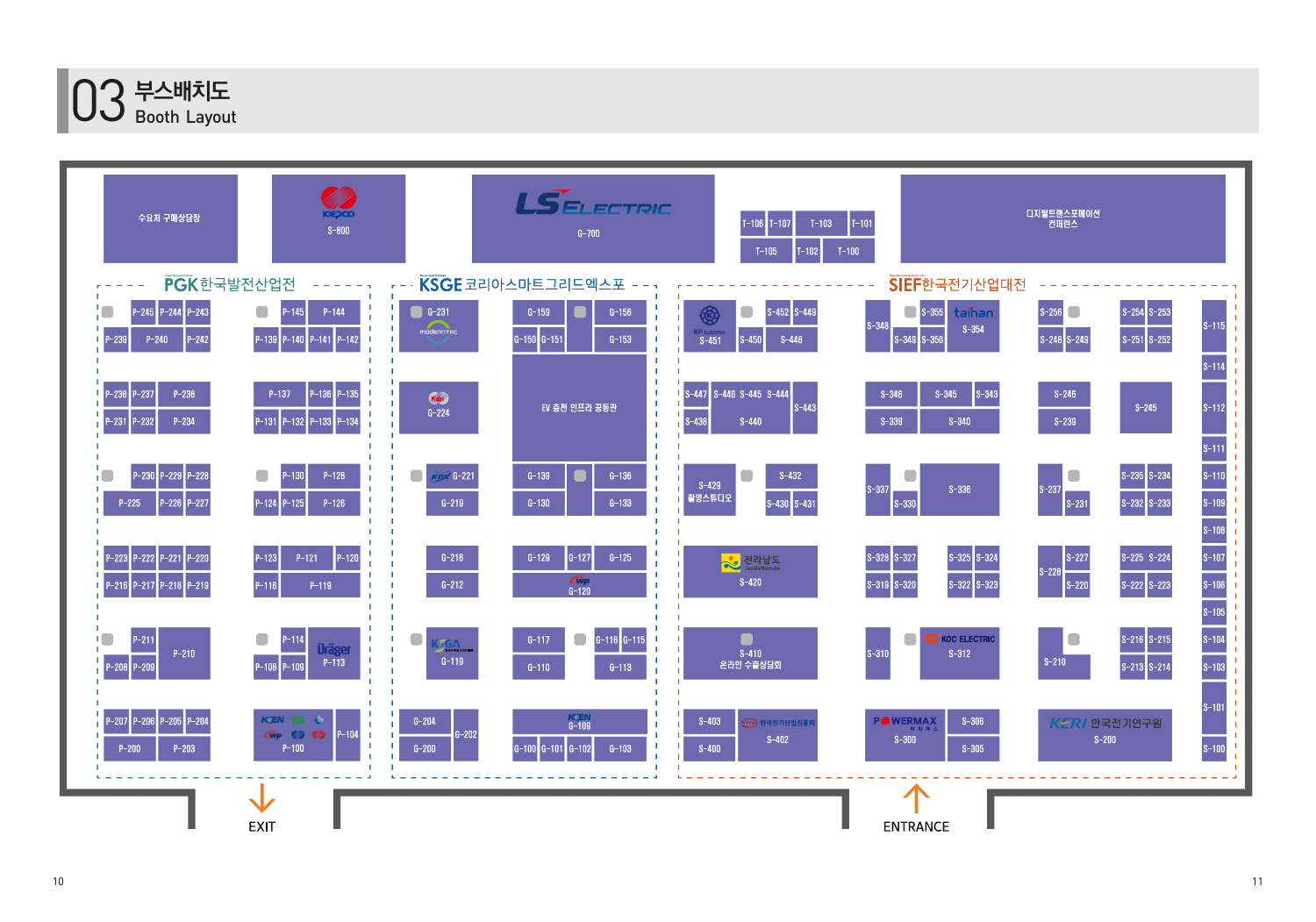

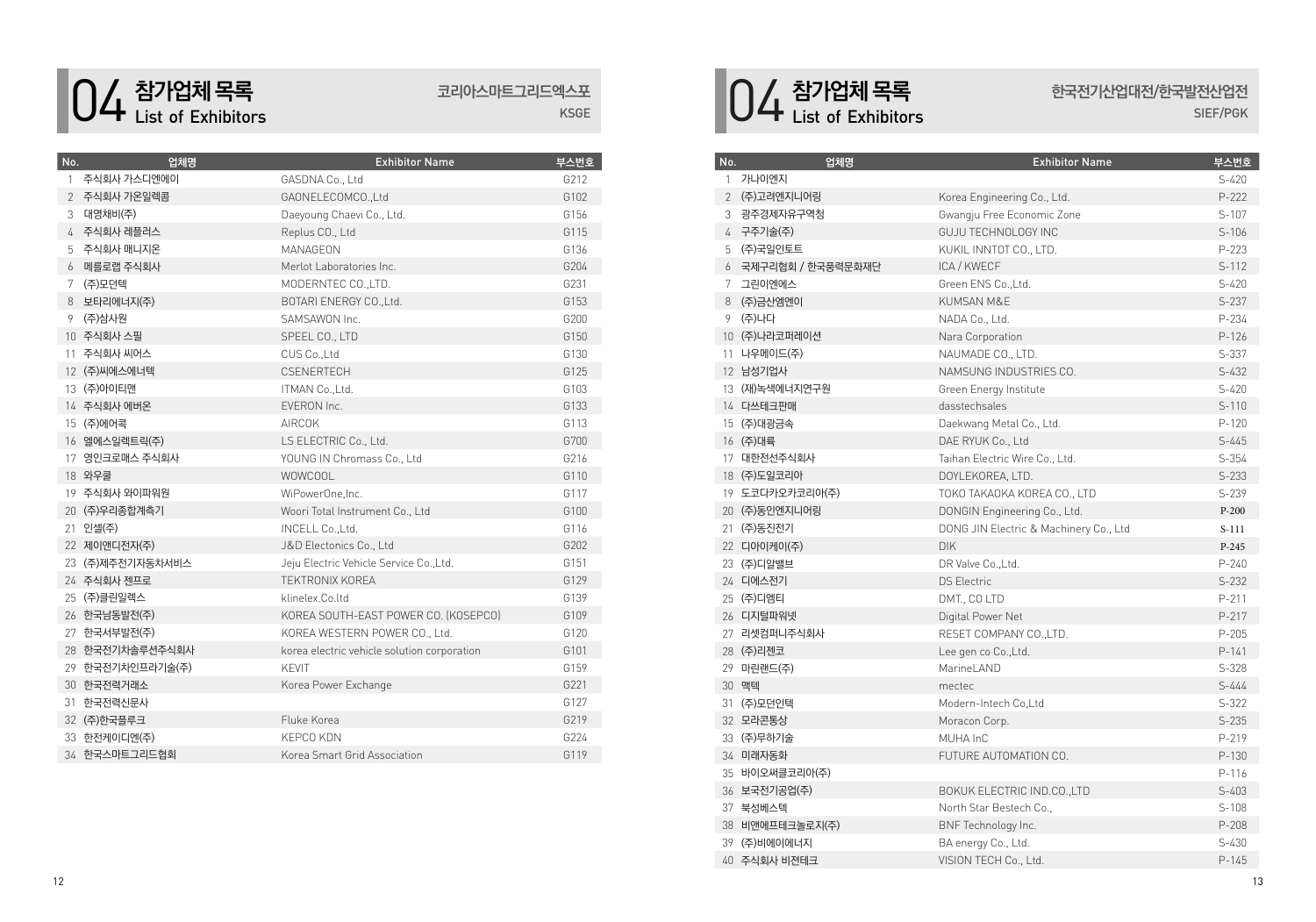

### **코리아스마트그리드엑스포**

KSGE

| No.          | 업체명              | <b>Exhibitor Name</b>                       | 부스번호 |
|--------------|------------------|---------------------------------------------|------|
| $\mathbf{1}$ | 주식회사 가스디엔에이      | GASDNA Co., Ltd                             | G212 |
|              | 2 주식회사 가온일렉콤     | GAONELECOMCO., Ltd                          | G102 |
| 3            | 대영채비(주)          | Daeyoung Chaevi Co., Ltd.                   | G156 |
| 4            | 주식회사 레플러스        | Replus CO., Ltd                             | G115 |
| 5            | 주식회사 매니지온        | MANAGFON                                    | G136 |
| 6            | 메를로랩 주식회사        | Merlot Laboratories Inc.                    | G204 |
| 7            | (주)모던텍           | MODERNTEC CO., LTD.                         | G231 |
| 8            | 보타리에너지(주)        | BOTARI ENERGY CO., Ltd.                     | G153 |
| 9            | (주)삼사원           | SAMSAWON Inc.                               | G200 |
|              | 10 주식회사 스필       | SPEEL CO., LTD                              | G150 |
| 11           | 주식회사 씨어스         | CUS Co., Ltd                                | G130 |
|              | 12 (주)씨에스에너텍     | <b>CSENERTECH</b>                           | G125 |
|              | 13 (주)아이티맨       | ITMAN Co., Ltd.                             | G103 |
|              | 14 주식회사 에버온      | EVERON Inc.                                 | G133 |
|              | 15 (주)에어콕        | <b>AIRCOK</b>                               | G113 |
|              | 16 엘에스일렉트릭(주)    | LS ELECTRIC Co., Ltd.                       | G700 |
|              | 17 영인크로매스 주식회사   | YOUNG IN Chromass Co., Ltd                  | G216 |
|              | 18 와우쿨           | WOWCOOL                                     | G110 |
|              | 19 주식회사 와이파워원    | WiPowerOne, Inc.                            | G117 |
|              | 20 (주)우리종합계측기    | Woori Total Instrument Co., Ltd             | G100 |
|              | 21 인셀(주)         | INCELL Co., Ltd.                            | G116 |
|              | 22 제이앤디전자(주)     | J&D Electonics Co., Ltd                     | G202 |
| 23.          | (주)제주전기자동차서비스    | Jeju Electric Vehicle Service Co., Ltd.     | G151 |
|              | 24 주식회사 젠프로      | <b>TEKTRONIX KOREA</b>                      | G129 |
|              | 25 (주)클린일렉스      | klinelex.Co.ltd                             | G139 |
|              | 26 한국남동발전(주)     | KOREA SOUTH-EAST POWER CO. (KOSEPCO)        | G109 |
|              | 27 한국서부발전(주)     | KOREA WESTERN POWER CO., Ltd.               | G120 |
|              | 28 한국전기차솔루션주식회사  | korea electric vehicle solution corporation | G101 |
|              | 29 한국전기차인프라기술(주) | <b>KFVIT</b>                                | G159 |
|              | 30 한국전력거래소       | Korea Power Exchange                        | G221 |
| 31           | 한국전력신문사          |                                             | G127 |
|              | 32 (주)한국플루크      | Fluke Korea                                 | G219 |
|              | 33 한전케이디엔(주)     | <b>KEPCO KDN</b>                            | G224 |
|              | 34 한국스마트그리드협회    | Korea Smart Grid Association                | G119 |

## **참가업체 목록** List of Exhibitors

# **한국전기산업대전**/**한국발전산업전**

SIEF/PGK

| No.          | 업체명                 | <b>Exhibitor Name</b>                  | 부스번호      |
|--------------|---------------------|----------------------------------------|-----------|
| $\mathbf{1}$ | 가나이엔지               |                                        | $S-420$   |
|              | 2 (주)고려엔지니어링        | Korea Engineering Co., Ltd.            | $P-222$   |
| 3            | 광주경제자유구역청           | Gwangju Free Economic Zone             | $S-107$   |
|              | 4 구주기술(주)           | GUJU TECHNOLOGY INC                    | $S-106$   |
| 5            | (주)국일인토트            | KUKIL INNTOT CO., LTD.                 | $P-223$   |
|              | 6 국제구리협회 / 한국풍력문화재단 | ICA / KWECF                            | $S-112$   |
|              | 7 그린이엔에스            | Green ENS Co., Ltd.                    | $S - 420$ |
|              | 8 (주)금산엠엔이          | KUMSAN M&E                             | $S-237$   |
|              | 9 (주)나다             | NADA Co., Ltd.                         | P-234     |
|              | 10 (주)나라코퍼레이션       | Nara Corporation                       | $P-126$   |
|              | 11 나우메이드(주)         | NAUMADE CO., LTD.                      | $S-337$   |
|              | 12 남성기업사            | NAMSUNG INDUSTRIES CO.                 | $S-432$   |
|              | 13 (재)녹색에너지연구원      | Green Energy Institute                 | $S-420$   |
|              | 14 다쓰테크판매           | dasstechsales                          | $S-110$   |
|              | 15 (주)대광금속          | Daekwang Metal Co., Ltd.               | $P-120$   |
|              | 16 (주)대륙            | DAE RYUK Co., Ltd                      | $S - 445$ |
|              | 17 대한전선주식회사         | Taihan Electric Wire Co., Ltd.         | $S-354$   |
|              | 18 (주)도일코리아         | DOYLEKOREA, LTD.                       | $S-233$   |
|              | 19 도코다카오카코리아(주)     | TOKO TAKAOKA KOREA CO., LTD            | $S-239$   |
|              | 20 (주)동인엔지니어링       | DONGIN Engineering Co., Ltd.           | $P-200$   |
|              | 21 (주)동진전기          | DONG JIN Electric & Machinery Co., Ltd | $S-111$   |
|              | 22 디아이케이(주)         | <b>DIK</b>                             | $P-245$   |
|              | 23 (주)디알밸브          | DR Valve Co., Ltd.                     | $P - 240$ |
|              | 24 디에스전기            | <b>DS Electric</b>                     | $S-232$   |
|              | 25 (주)디엠티           | DMT., CO LTD                           | $P - 211$ |
|              | 26 디지털파워넷           | Digital Power Net                      | $P-217$   |
|              | 27 리셋컴퍼니주식회사        | RESET COMPANY CO., LTD.                | $P - 205$ |
|              | 28 (주)리젠코           | Lee gen co Co., Ltd.                   | $P-141$   |
|              | 29 마린랜드(주)          | MarineLAND                             | $S-328$   |
|              | 30 맥텍               | mectec                                 | $S - 444$ |
|              | 31 (주)모던인텍          | Modern-Intech Co.Ltd                   | $S-322$   |
|              | 32 모라콘통상            | Moracon Corp.                          | $S-235$   |
|              | 33 (주)무하기술          | MUHA InC                               | P-219     |
|              | 34 미래자동화            | FUTURE AUTOMATION CO.                  | $P-130$   |
|              | 35 바이오써클코리아(주)      |                                        | P-116     |
|              | 36 보국전기공업(주)        | BOKUK ELECTRIC IND.CO., LTD            | $S-403$   |
|              | 37 북성베스텍            | North Star Bestech Co.,                | $S-108$   |
|              | 38 비앤에프테크놀로지(주)     | BNF Technology Inc.                    | $P - 208$ |
|              | 39 (주)비에이에너지        | BA energy Co., Ltd.                    | $S-430$   |
|              | 40 주식회사 비젼테크        | VISION TECH Co., Ltd.                  | $P-145$   |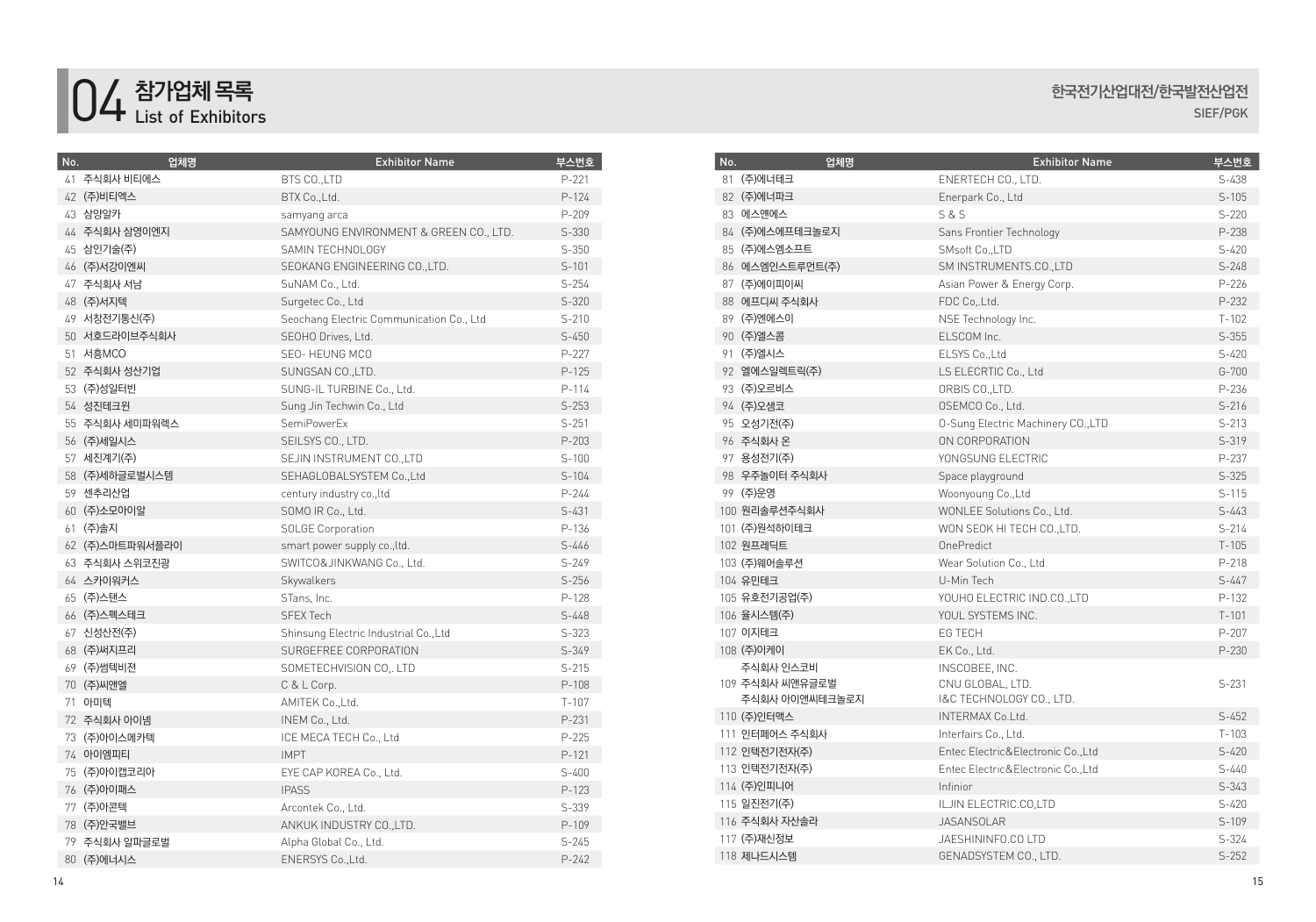

| No. | 업체명             | <b>Exhibitor Name</b>                    | 부스번호      |
|-----|-----------------|------------------------------------------|-----------|
|     | 41 주식회사 비티에스    | BTS CO., LTD                             | $P-221$   |
|     | 42 (주)비티엑스      | BTX Co., Ltd.                            | $P-124$   |
|     | 43 삼양알카         | samyang arca                             | P-209     |
|     | 44 주식회사 삼영이엔지   | SAMYOUNG ENVIRONMENT & GREEN CO., LTD.   | $S-330$   |
|     | 45 삼인기술(주)      | SAMIN TECHNOLOGY                         | $S-350$   |
|     | 46 (주)서강이엔씨     | SEOKANG ENGINEERING CO.,LTD.             | $S-101$   |
|     | 47 주식회사 서남      | SuNAM Co., Ltd.                          | $S-254$   |
|     | 48 (주)서지텍       | Surgetec Co., Ltd                        | $S-320$   |
|     | 49 서창전기통신(주)    | Seochang Electric Communication Co., Ltd | $S-210$   |
|     | 50 서호드라이브주식회사   | SEOHO Drives, Ltd.                       | $S-450$   |
|     | 51 서흥MCO        | SEO-HEUNG MCO                            | $P-227$   |
|     | 52 주식회사 성산기업    | SUNGSAN CO., LTD.                        | $P-125$   |
|     | 53 (주)성일터빈      | SUNG-IL TURBINE Co., Ltd.                | $P - 114$ |
|     | 54 성진테크윈        | Sung Jin Techwin Co., Ltd                | $S-253$   |
|     | 55 주식회사 세미파워렉스  | SemiPowerEx                              | $S-251$   |
|     | 56 (주)세일시스      | SEILSYS CO., LTD.                        | $P-203$   |
|     | 57 세진계기(주)      | SEJIN INSTRUMENT CO., LTD                | $S-100$   |
|     | 58 (주)세하글로벌시스템  | SEHAGLOBALSYSTEM Co., Ltd                | $S-104$   |
|     | 59 센추리산업        | century industry co., ltd                | $P - 244$ |
|     | 60 (주)소모아이알     | SOMO IR Co., Ltd.                        | $S-431$   |
|     | 61 (주)솔지        | <b>SOLGE Corporation</b>                 | P-136     |
|     | 62 (주)스마트파워서플라이 | smart power supply co., ltd.             | $S - 446$ |
|     | 63 주식회사 스위코진광   | SWITCO&JINKWANG Co., Ltd.                | $S - 249$ |
|     | 64 스카이워커스       | Skywalkers                               | $S-256$   |
|     | 65 (주)스탠스       | STans, Inc.                              | $P-128$   |
|     | 66 (주)스펙스테크     | <b>SFEX Tech</b>                         | $S-448$   |
|     | 67 신성산전(주)      | Shinsung Electric Industrial Co., Ltd    | $S-323$   |
|     | 68 (주)써지프리      | SURGEFREE CORPORATION                    | $S-349$   |
|     | 69 (주)썸텍비젼      | SOMETECHVISION CO., LTD                  | $S-215$   |
|     | 70 (주)씨앤엘       | C & L Corp.                              | $P-108$   |
|     | 71 아미텍          | AMITEK Co., Ltd.                         | $T-107$   |
|     | 72 주식회사 아이넴     | INEM Co., Ltd.                           | $P - 231$ |
|     | 73 (주)아이스메카텍    | ICE MECA TECH Co., Ltd                   | $P-225$   |
|     | 74 아이엠피티        | <b>IMPT</b>                              | $P-121$   |
|     | 75 (주)아이캡코리아    | EYE CAP KOREA Co., Ltd.                  | $S-400$   |
|     | 76 (주)아이패스      | <b>IPASS</b>                             | $P-123$   |
|     | 77 (주)아콘텍       | Arcontek Co., Ltd.                       | S-339     |
|     | 78 (주)안국밸브      | ANKUK INDUSTRY CO., LTD.                 | $P-109$   |
|     | 79 주식회사 알파글로벌   | Alpha Global Co., Ltd.                   | $S-245$   |
|     | 80 (주)에너시스      | ENERSYS Co., Ltd.                        | $P - 242$ |

#### **한국전기산업대전**/**한국발전산업전** SIEF/PGK

| No. | 업체명             | <b>Exhibitor Name</b>              | 부스번호      |
|-----|-----------------|------------------------------------|-----------|
|     | 81 (주)에너테크      | ENERTECH CO., LTD.                 | $S-438$   |
|     | 82 (주)에너파크      | Enerpark Co., Ltd                  | $S-105$   |
|     | 83 에스얜에스        | S & S                              | $S-220$   |
|     | 84 (주)에스에프테크놀로지 | Sans Frontier Technology           | P-238     |
|     | 85 (주)에스엠소프트    | SMsoft Co., LTD                    | $S-420$   |
|     | 86 에스엠인스트루먼트(주) | SM INSTRUMENTS.CO., LTD            | $S-248$   |
|     | 87 (주)에이피이씨     | Asian Power & Energy Corp.         | $P-226$   |
|     | 88 에프디씨 주식회사    | FDC Co, Ltd.                       | $P-232$   |
|     | 89 (주)엔에스이      | NSE Technology Inc.                | $T - 102$ |
|     | 90 (주)엘스콤       | ELSCOM Inc.                        | $S-355$   |
|     | 91 (주)엘시스       | ELSYS Co., Ltd                     | $S-420$   |
|     | 92 엘에스일렉트릭(주)   | LS ELECRTIC Co., Ltd               | $G - 700$ |
|     | 93 (주)오르비스      | ORBIS CO., LTD.                    | P-236     |
|     | 94 (주)오샘코       | OSEMCO Co., Ltd.                   | $S-216$   |
|     | 95 오성기전(주)      | 0-Sung Electric Machinery CO., LTD | $S-213$   |
|     | 96 주식회사 온       | ON CORPORATION                     | $S-319$   |
|     | 97 용성전기(주)      | YONGSUNG FLECTRIC                  | P-237     |
|     | 98 우주놀이터 주식회사   | Space playground                   | $S-325$   |
|     | 99 (주)운영        | Woonyoung Co., Ltd                 | $S-115$   |
|     | 100 원리솔루션주식회사   | WONLEE Solutions Co., Ltd.         | $S-443$   |
|     | 101 (주)원석하이테크   | WON SEOK HI TECH CO., LTD.         | $S-214$   |
|     | 102 원프레딕트       | OnePredict                         | $T-105$   |
|     | 103 (주)웨어솔루션    | Wear Solution Co., Ltd             | $P - 218$ |
|     | 104 유민테크        | U-Min Tech                         | $S-447$   |
|     | 105 유호전기공업(주)   | YOUHO ELECTRIC IND.CO.,LTD         | P-132     |
|     | 106 율시스템(주)     | YOUL SYSTEMS INC.                  | $T-101$   |
|     | 107 이지테크        | EG TECH                            | $P-207$   |
|     | 108 (주)이케이      | EK Co., Ltd.                       | $P - 230$ |
|     | 주식회사 인스코비       | INSCOBEE, INC.                     |           |
|     | 109 주식회사 씨앤유글로벌 | CNU GLOBAL, LTD.                   | $S-231$   |
|     | 주식회사 아이앤씨테크놀로지  | I&C TECHNOLOGY CO., LTD.           |           |
|     | 110 (주)인터맥스     | INTERMAX Co.Ltd.                   | $S-452$   |
|     | 111 인터페어스 주식회사  | Interfairs Co., Ltd.               | $T-103$   |
|     | 112 인텍전기전자(주)   | Entec Electric&Electronic Co.,Ltd  | $S-420$   |
|     | 113 인텍전기전자(주)   | Entec Electric&Electronic Co.,Ltd  | $S - 440$ |
|     | 114 (주)인피니어     | Infinior                           | $S-343$   |
|     | 115 일진전기(주)     | ILJIN ELECTRIC.CO,LTD              | $S-420$   |
|     | 116 주식회사 자산솔라   | <b>JASANSOLAR</b>                  | $S-109$   |
|     | 117 (주)재신정보     | JAESHININFO.CO LTD                 | $S-324$   |
|     | 118 제나드시스템      | GENADSYSTEM CO., LTD.              | $S-252$   |